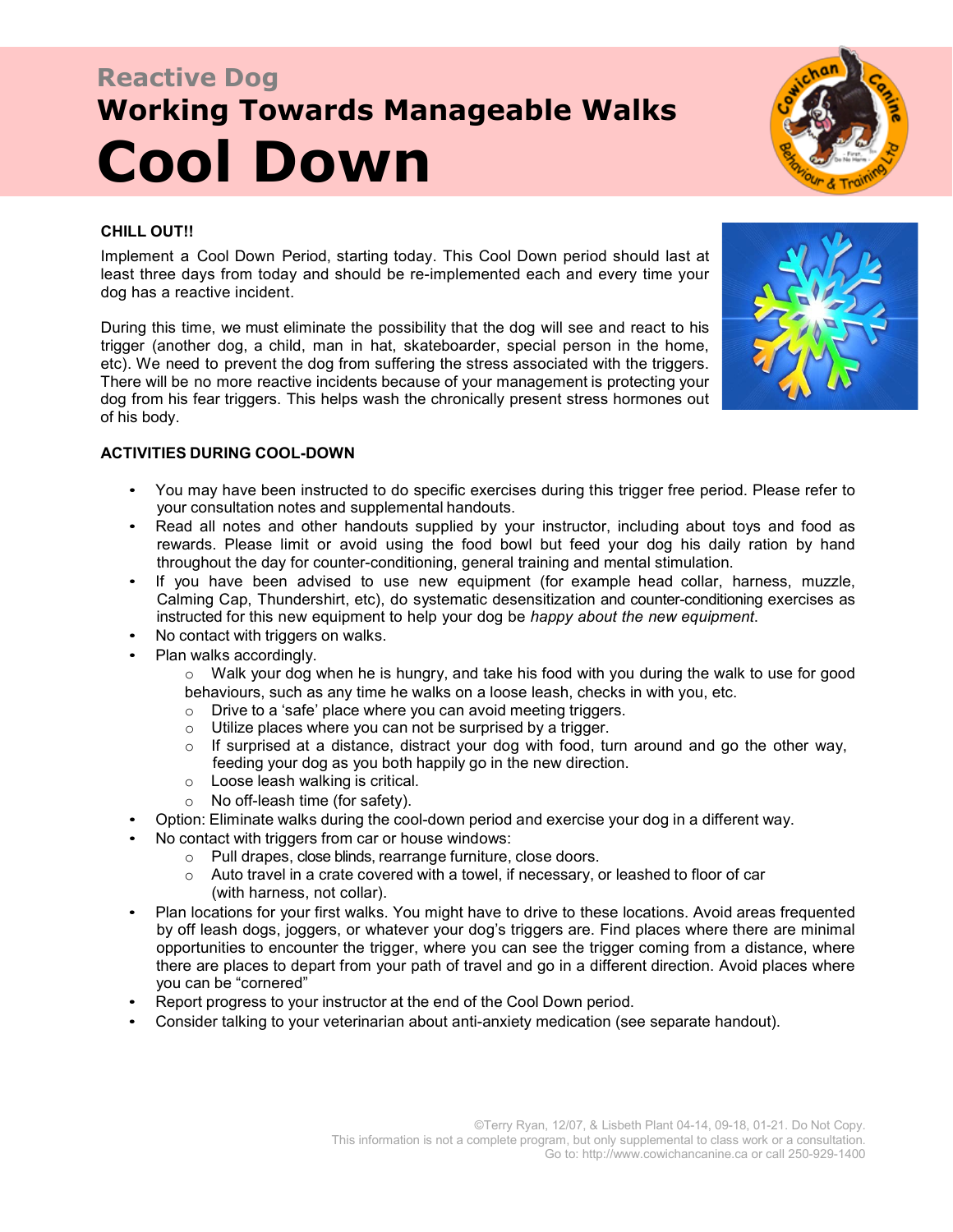# **Reactive Dog Working Towards Manageable Walks Cool Down**



## **CHILL OUT!!**

Implement a Cool Down Period, starting today. This Cool Down period should last at least three days from today and should be re-implemented each and every time your dog has a reactive incident.

During this time, we must eliminate the possibility that the dog will see and react to his trigger (another dog, a child, man in hat, skateboarder, special person in the home, etc). We need to prevent the dog from suffering the stress associated with the triggers. There will be no more reactive incidents because of your management is protecting your dog from his fear triggers. This helps wash the chronically present stress hormones out of his body.



### **ACTIVITIES DURING COOL-DOWN**

- You may have been instructed to do specific exercises during this trigger free period. Please refer to your consultation notes and supplemental handouts.
- Read all notes and other handouts supplied by your instructor, including about toys and food as rewards. Please limit or avoid using the food bowl but feed your dog his daily ration by hand throughout the day for counter-conditioning, general training and mental stimulation.
- If you have been advised to use new equipment (for example head collar, harness, muzzle, Calming Cap, Thundershirt, etc), do systematic desensitization and counter-conditioning exercises as instructed for this new equipment to help your dog be *happy about the new equipment*.
- No contact with triggers on walks.
- Plan walks accordingly.
	- $\circ$  Walk your dog when he is hungry, and take his food with you during the walk to use for good behaviours, such as any time he walks on a loose leash, checks in with you, etc.
	- o Drive to a 'safe' place where you can avoid meeting triggers.
	- o Utilize places where you can not be surprised by a trigger.
	- $\circ$  If surprised at a distance, distract your dog with food, turn around and go the other way, feeding your dog as you both happily go in the new direction.
	- o Loose leash walking is critical.
	- o No off-leash time (for safety).
- Option: Eliminate walks during the cool-down period and exercise your dog in a different way.
- No contact with triggers from car or house windows:
	- o Pull drapes, close blinds, rearrange furniture, close doors.
		- $\circ$  Auto travel in a crate covered with a towel, if necessary, or leashed to floor of car (with harness, not collar).
- Plan locations for your first walks. You might have to drive to these locations. Avoid areas frequented by off leash dogs, joggers, or whatever your dog's triggers are. Find places where there are minimal opportunities to encounter the trigger, where you can see the trigger coming from a distance, where there are places to depart from your path of travel and go in a different direction. Avoid places where you can be "cornered"
- Report progress to your instructor at the end of the Cool Down period.
- Consider talking to your veterinarian about anti-anxiety medication (see separate handout).